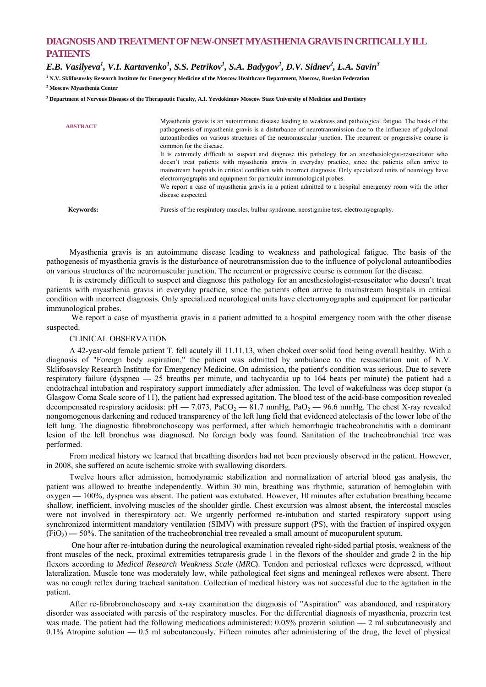## **DIAGNOSIS AND TREATMENT OF NEW-ONSET MYASTHENIA GRAVIS IN CRITICALLY ILL PATIENTS**

 $E.B.$  Vasilyeva<sup>1</sup>, V.I. Kartavenko<sup>1</sup>, S.S. Petrikov<sup>1</sup>, S.A. Badygov<sup>1</sup>, D.V. Sidnev<sup>2</sup>, L.A. Savin<sup>3</sup>

**1 N.V. Sklifosovsky Research Institute for Emergency Medicine of the Moscow Healthcare Department, Moscow, Russian Federation** 

**2 Moscow Myasthenia Center** 

**3 Department of Nervous Diseases of the Therapeutic Faculty, A.I. Yevdokimov Moscow State University of Medicine and Dentistry** 

| <b>ABSTRACT</b>  | Myasthenia gravis is an autoimmune disease leading to weakness and pathological fatigue. The basis of the<br>pathogenesis of myasthenia gravis is a disturbance of neurotransmission due to the influence of polyclonal<br>autoantibodies on various structures of the neuromuscular junction. The recurrent or progressive course is<br>common for the disease.                                            |
|------------------|-------------------------------------------------------------------------------------------------------------------------------------------------------------------------------------------------------------------------------------------------------------------------------------------------------------------------------------------------------------------------------------------------------------|
|                  | It is extremely difficult to suspect and diagnose this pathology for an anesthesiologist-resuscitator who<br>doesn't treat patients with myasthenia gravis in everyday practice, since the patients often arrive to<br>mainstream hospitals in critical condition with incorrect diagnosis. Only specialized units of neurology have<br>electromyographs and equipment for particular immunological probes. |
|                  | We report a case of myasthenia gravis in a patient admitted to a hospital emergency room with the other<br>disease suspected.                                                                                                                                                                                                                                                                               |
| <b>Keywords:</b> | Paresis of the respiratory muscles, bulbar syndrome, neostigmine test, electromyography.                                                                                                                                                                                                                                                                                                                    |

Myasthenia gravis is an autoimmune disease leading to weakness and pathological fatigue. The basis of the pathogenesis of myasthenia gravis is the disturbance of neurotransmission due to the influence of polyclonal autoantibodies on various structures of the neuromuscular junction. The recurrent or progressive course is common for the disease.

It is extremely difficult to suspect and diagnose this pathology for an anesthesiologist-resuscitator who doesn't treat patients with myasthenia gravis in everyday practice, since the patients often arrive to mainstream hospitals in critical condition with incorrect diagnosis. Only specialized neurological units have electromyographs and equipment for particular immunological probes.

We report a case of myasthenia gravis in a patient admitted to a hospital emergency room with the other disease suspected.

## CLINICAL OBSERVATION

A 42-year-old female patient T. fell acutely ill 11.11.13, when choked over solid food being overall healthy. With a diagnosis of "Foreign body aspiration," the patient was admitted by ambulance to the resuscitation unit of N.V. Sklifosovsky Research Institute for Emergency Medicine. On admission, the patient's condition was serious. Due to severe respiratory failure (dyspnea **—** 25 breaths per minute, and tachycardia up to 164 beats per minute) the patient had a endotracheal intubation and respiratory support immediately after admission. The level of wakefulness was deep stupor (a Glasgow Coma Scale score of 11), the patient had expressed agitation. The blood test of the acid-base composition revealed decompensated respiratory acidosis: pH — 7.073, PaCO<sub>2</sub> — 81.7 mmHg, PaO<sub>2</sub> — 96.6 mmHg. The chest X-ray revealed nongomogenous darkening and reduced transparency of the left lung field that evidenced atelectasis of the lower lobe of the left lung. The diagnostic fibrobronchoscopy was performed, after which hemorrhagic tracheobronchitis with a dominant lesion of the left bronchus was diagnosed. No foreign body was found. Sanitation of the tracheobronchial tree was performed.

From medical history we learned that breathing disorders had not been previously observed in the patient. However, in 2008, she suffered an acute ischemic stroke with swallowing disorders.

Twelve hours after admission, hemodynamic stabilization and normalization of arterial blood gas analysis, the patient was allowed to breathe independently. Within 30 min, breathing was rhythmic, saturation of hemoglobin with oxygen **—** 100%, dyspnea was absent. The patient was extubated. However, 10 minutes after extubation breathing became shallow, inefficient, involving muscles of the shoulder girdle. Chest excursion was almost absent, the intercostal muscles were not involved in therespiratory act. We urgently performed re-intubation and started respiratory support using synchronized intermittent mandatory ventilation (SIMV) with pressure support (PS), with the fraction of inspired oxygen (FiO2) **—** 50%. The sanitation of the tracheobronchial tree revealed a small amount of mucopurulent sputum.

 One hour after re-intubation during the neurological examination revealed right-sided partial ptosis, weakness of the front muscles of the neck, proximal extremities tetraparesis grade 1 in the flexors of the shoulder and grade 2 in the hip flexors according to *Medical Research Weakness Scale* (*MRC***)**. Tendon and periosteal reflexes were depressed, without lateralization. Muscle tone was moderately low, while pathological feet signs and meningeal reflexes were absent. There was no cough reflex during tracheal sanitation. Collection of medical history was not successful due to the agitation in the patient.

After re-fibrobronchoscopy and x-ray examination the diagnosis of "Aspiration" was abandoned, and respiratory disorder was associated with paresis of the respiratory muscles. For the differential diagnosis of myasthenia, prozerin test was made. The patient had the following medications administered: 0.05% prozerin solution **—** 2 ml subcutaneously and 0.1% Atropine solution **—** 0.5 ml subcutaneously. Fifteen minutes after administering of the drug, the level of physical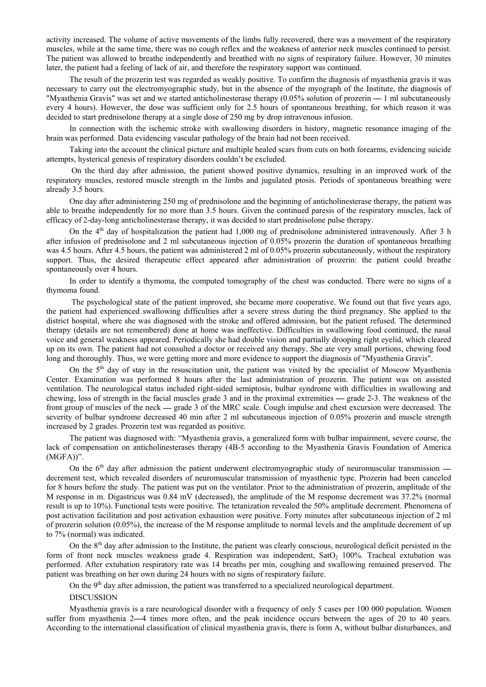activity increased. The volume of active movements of the limbs fully recovered, there was a movement of the respiratory muscles, while at the same time, there was no cough reflex and the weakness of anterior neck muscles continued to persist. The patient was allowed to breathe independently and breathed with no signs of respiratory failure. However, 30 minutes later, the patient had a feeling of lack of air, and therefore the respiratory support was continued.

The result of the prozerin test was regarded as weakly positive. To confirm the diagnosis of myasthenia gravis it was necessary to carry out the electromyographic study, but in the absence of the myograph of the Institute, the diagnosis of "Myasthenia Gravis" was set and we started anticholinesterase therapy (0.05% solution of prozerin **—** 1 ml subcutaneously every 4 hours). However, the dose was sufficient only for 2.5 hours of spontaneous breathing, for which reason it was decided to start prednisolone therapy at a single dose of 250 mg by drop intravenous infusion.

In connection with the ischemic stroke with swallowing disorders in history, magnetic resonance imaging of the brain was performed. Data evidencing vascular pathology of the brain had not been received.

Taking into the account the clinical picture and multiple healed scars from cuts on both forearms, evidencing suicide attempts, hysterical genesis of respiratory disorders couldn't be excluded.

 On the third day after admission, the patient showed positive dynamics, resulting in an improved work of the respiratory muscles, restored muscle strength in the limbs and jugulated ptosis. Periods of spontaneous breathing were already 3.5 hours.

One day after administering 250 mg of prednisolone and the beginning of anticholinesterase therapy, the patient was able to breathe independently for no more than 3.5 hours. Given the continued paresis of the respiratory muscles, lack of efficacy of 2-day-long anticholinesterase therapy, it was decided to start prednisolone pulse therapy.

On the  $4<sup>th</sup>$  day of hospitalization the patient had 1,000 mg of prednisolone administered intravenously. After 3 h after infusion of prednisolone and 2 ml subcutaneous injection of 0.05% prozerin the duration of spontaneous breathing was 4.5 hours. After 4.5 hours, the patient was administered 2 ml of 0.05% prozerin subcutaneously, without the respiratory support. Thus, the desired therapeutic effect appeared after administration of prozerin: the patient could breathe spontaneously over 4 hours.

In order to identify a thymoma, the computed tomography of the chest was conducted. There were no signs of a thymoma found.

 The psychological state of the patient improved, she became more cooperative. We found out that five years ago, the patient had experienced swallowing difficulties after a severe stress during the third pregnancy. She applied to the district hospital, where she was diagnosed with the stroke and offered admission, but the patient refused. The determined therapy (details are not remembered) done at home was ineffective. Difficulties in swallowing food continued, the nasal voice and general weakness appeared. Periodically she had double vision and partially drooping right eyelid, which cleared up on its own. The patient had not consulted a doctor or received any therapy. She ate very small portions, chewing food long and thoroughly. Thus, we were getting more and more evidence to support the diagnosis of "Myasthenia Gravis".

On the  $5<sup>th</sup>$  day of stay in the resuscitation unit, the patient was visited by the specialist of Moscow Myasthenia Center. Examination was performed 8 hours after the last administration of prozerin. The patient was on assisted ventilation. The neurological status included right-sided semiptosis, bulbar syndrome with difficulties in swallowing and chewing, loss of strength in the facial muscles grade 3 and in the proximal extremities **—** grade 2-3. The weakness of the front group of muscles of the neck **—** grade 3 of the MRC scale. Cough impulse and chest excursion were decreased. The severity of bulbar syndrome decreased 40 min after 2 ml subcutaneous injection of 0.05% prozerin and muscle strength increased by 2 grades. Prozerin test was regarded as positive.

The patient was diagnosed with: "Myasthenia gravis, a generalized form with bulbar impairment, severe course, the lack of compensation on anticholinesterases therapy (4B-5 according to the Myasthenia Gravis Foundation of America (MGFA))".

On the 6<sup>th</sup> day after admission the patient underwent electromyographic study of neuromuscular transmission decrement test, which revealed disorders of neuromuscular transmission of myasthenic type. Prozerin had been canceled for 8 hours before the study. The patient was put on the ventilator. Prior to the administration of prozerin, amplitude of the M response in m. Digastricus was 0.84 mV (decreased), the amplitude of the M response decrement was 37.2% (normal result is up to 10%). Functional tests were positive. The tetanization revealed the 50% amplitude decrement. Phenomena of post activation facilitation and post activation exhaustion were positive. Forty minutes after subcutaneous injection of 2 ml of prozerin solution (0.05%), the increase of the M response amplitude to normal levels and the amplitude decrement of up to 7% (normal) was indicated.

On the 8<sup>th</sup> day after admission to the Institute, the patient was clearly conscious, neurological deficit persisted in the form of front neck muscles weakness grade 4. Respiration was independent, SatO<sub>2</sub> 100%. Tracheal extubation was performed. After extubation respiratory rate was 14 breaths per min, coughing and swallowing remained preserved. The patient was breathing on her own during 24 hours with no signs of respiratory failure.

On the 9<sup>th</sup> day after admission, the patient was transferred to a specialized neurological department.

**DISCUSSION** 

Myasthenia gravis is a rare neurological disorder with a frequency of only 5 cases per 100 000 population. Women suffer from myasthenia 2**—**4 times more often, and the peak incidence occurs between the ages of 20 to 40 years. According to the international classification of clinical myasthenia gravis, there is form A, without bulbar disturbances, and